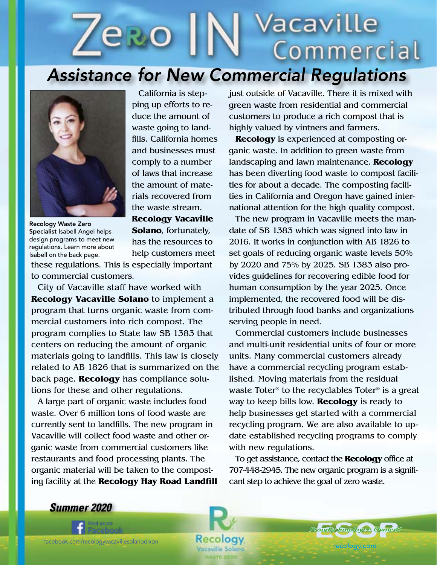## Vacaville **ero** Commercial *Assistance for New Commercial Regulations*



Recology Waste Zero Specialist Isabell Angel helps design programs to meet new regulations. Learn more about Isabell on the back page.

California is stepping up efforts to reduce the amount of waste going to landfills. California homes and businesses must comply to a number of laws that increase the amount of materials recovered from the waste stream. **Recology Vacaville** 

**Solano**, fortunately, has the resources to help customers meet

> Recology Vacaville Solano

these regulations. This is especially important to commercial customers.

City of Vacaville staff have worked with **Recology Vacaville Solano** to implement a program that turns organic waste from commercial customers into rich compost. The program complies to State law SB 1383 that centers on reducing the amount of organic materials going to landfills. This law is closely related to AB 1826 that is summarized on the back page. **Recology** has compliance solutions for these and other regulations.

A large part of organic waste includes food waste. Over 6 million tons of food waste are currently sent to landfills. The new program in Vacaville will collect food waste and other organic waste from commercial customers like restaurants and food processing plants. The organic material will be taken to the composting facility at the **Recology Hay Road Landfill**  just outside of Vacaville. There it is mixed with green waste from residential and commercial customers to produce a rich compost that is highly valued by vintners and farmers.

**Recology** is experienced at composting organic waste. In addition to green waste from landscaping and lawn maintenance, **Recology** has been diverting food waste to compost facilities for about a decade. The composting facilities in California and Oregon have gained international attention for the high quality compost.

The new program in Vacaville meets the mandate of SB 1383 which was signed into law in 2016. It works in conjunction with AB 1826 to set goals of reducing organic waste levels 50% by 2020 and 75% by 2025. SB 1383 also provides guidelines for recovering edible food for human consumption by the year 2025. Once implemented, the recovered food will be distributed through food banks and organizations serving people in need.

Commercial customers include businesses and multi-unit residential units of four or more units. Many commercial customers already have a commercial recycling program established. Moving materials from the residual waste Toter® to the recyclables Toter® is a great way to keep bills low. **Recology** is ready to help businesses get started with a commercial recycling program. We are also available to update established recycling programs to comply with new regulations.

To get assistance, contact the **Recology** office at 707-448-2945. The new organic program is a significant step to achieve the goal of zero waste.

> *Proudly Employee Owned!* pudly Employee Owned

*recology.com*

*Summer 2020*

*recologyvallejo.com*

facebook.com/recologyvacavillesolanodixon